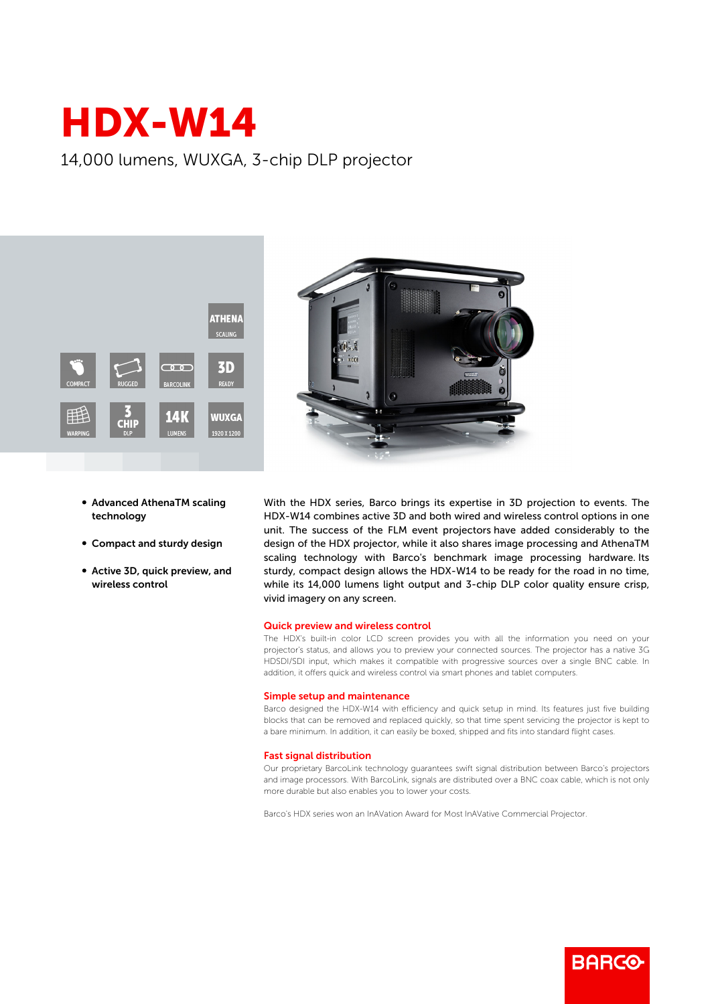# HDX-W14

## 14,000 lumens, WUXGA, 3-chip DLP projector





- **Advanced AthenaTM scaling** technology
- Compact and sturdy design
- Active 3D, quick preview, and wireless control

With the HDX series, Barco brings its expertise in 3D projection to events. The HDX-W14 combines active 3D and both wired and wireless control options in one unit. The success of the FLM event projectors have added considerably to the design of the HDX projector, while it also shares image processing and AthenaTM scaling technology with Barco's benchmark image processing hardware. Its sturdy, compact design allows the HDX-W14 to be ready for the road in no time, while its 14,000 lumens light output and 3-chip DLP color quality ensure crisp, vivid imagery on any screen.

#### Quick preview and wireless control

The HDX's built-in color LCD screen provides you with all the information you need on your projector's status, and allows you to preview your connected sources. The projector has a native 3G HDSDI/SDI input, which makes it compatible with progressive sources over a single BNC cable. In addition, it offers quick and wireless control via smart phones and tablet computers.

#### Simple setup and maintenance

Barco designed the HDX-W14 with efficiency and quick setup in mind. Its features just five building blocks that can be removed and replaced quickly, so that time spent servicing the projector is kept to a bare minimum. In addition, it can easily be boxed, shipped and fits into standard flight cases.

#### Fast signal distribution

Our proprietary BarcoLink technology guarantees swift signal distribution between Barco's projectors and image processors. With BarcoLink, signals are distributed over a BNC coax cable, which is not only more durable but also enables you to lower your costs.

Barco's HDX series won an InAVation Award for Most InAVative Commercial Projector.

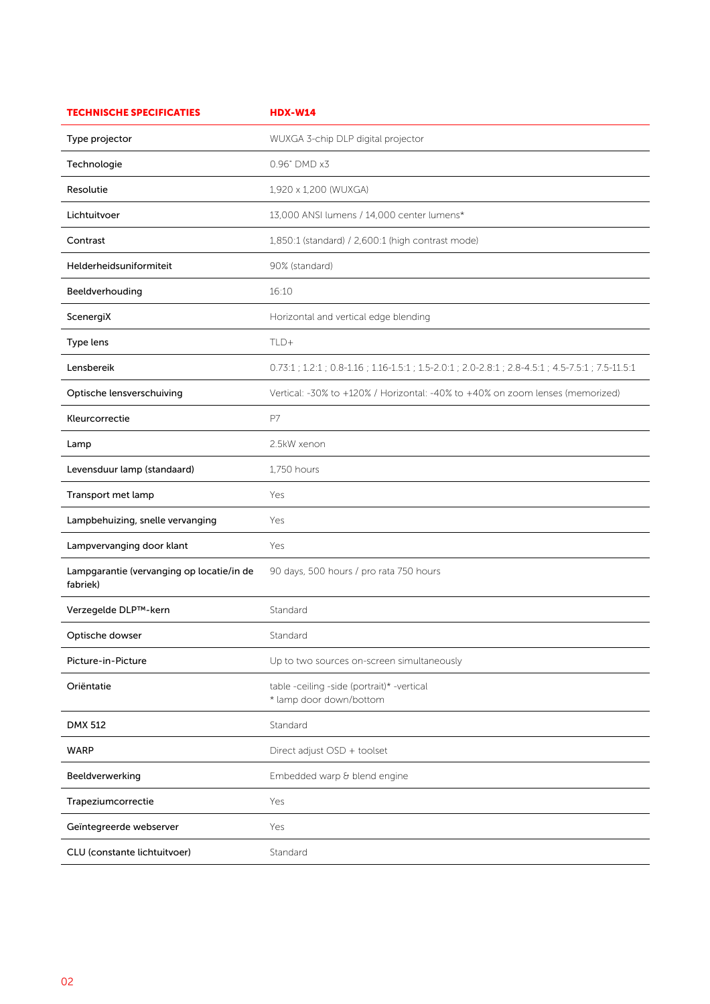| <b>TECHNISCHE SPECIFICATIES</b>                       | <b>HDX-W14</b>                                                                                      |
|-------------------------------------------------------|-----------------------------------------------------------------------------------------------------|
| Type projector                                        | WUXGA 3-chip DLP digital projector                                                                  |
| Technologie                                           | 0.96" DMD x3                                                                                        |
| Resolutie                                             | 1,920 x 1,200 (WUXGA)                                                                               |
| Lichtuitvoer                                          | 13,000 ANSI lumens / 14,000 center lumens*                                                          |
| Contrast                                              | 1,850:1 (standard) / 2,600:1 (high contrast mode)                                                   |
| Helderheidsuniformiteit                               | 90% (standard)                                                                                      |
| Beeldverhouding                                       | 16:10                                                                                               |
| ScenergiX                                             | Horizontal and vertical edge blending                                                               |
| Type lens                                             | TLD+                                                                                                |
| Lensbereik                                            | 0.73:1 ; 1.2:1 ; 0.8-1.16 ; 1.16-1.5:1 ; 1.5-2.0:1 ; 2.0-2.8:1 ; 2.8-4.5:1 ; 4.5-7.5:1 ; 7.5-11.5:1 |
| Optische lensverschuiving                             | Vertical: -30% to +120% / Horizontal: -40% to +40% on zoom lenses (memorized)                       |
| Kleurcorrectie                                        | P7                                                                                                  |
| Lamp                                                  | 2.5kW xenon                                                                                         |
| Levensduur lamp (standaard)                           | 1,750 hours                                                                                         |
| Transport met lamp                                    | Yes                                                                                                 |
| Lampbehuizing, snelle vervanging                      | Yes                                                                                                 |
| Lampvervanging door klant                             | Yes                                                                                                 |
| Lampgarantie (vervanging op locatie/in de<br>fabriek) | 90 days, 500 hours / pro rata 750 hours                                                             |
| Verzegelde DLP™-kern                                  | Standard                                                                                            |
| Optische dowser                                       | Standard                                                                                            |
| Picture-in-Picture                                    | Up to two sources on-screen simultaneously                                                          |
| Oriëntatie                                            | table -ceiling -side (portrait)* -vertical<br>* lamp door down/bottom                               |
| <b>DMX 512</b>                                        | Standard                                                                                            |
| <b>WARP</b>                                           | Direct adjust OSD + toolset                                                                         |
| Beeldverwerking                                       | Embedded warp & blend engine                                                                        |
| Trapeziumcorrectie                                    | Yes                                                                                                 |
| Geïntegreerde webserver                               | Yes                                                                                                 |
| CLU (constante lichtuitvoer)                          | Standard                                                                                            |